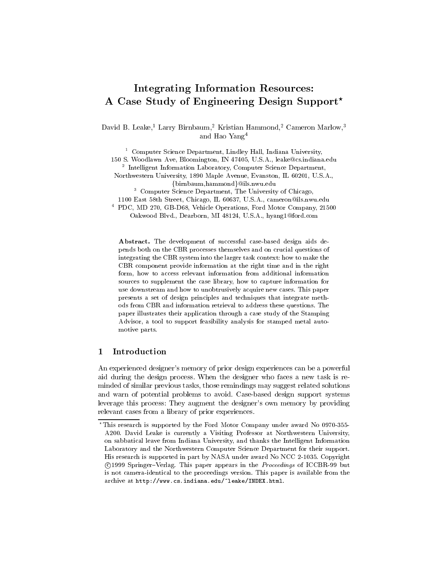# Integrating Information Resources: A Case Study of Engineering Design Support?

David B. Leake,<sup>1</sup> Larry Birnbaum,<sup>2</sup> Kristian Hammond,<sup>2</sup> Cameron Marlow,<sup>3</sup> and Hao Yang<sup>4</sup>

<sup>1</sup> Computer Science Department, Lindley Hall, Indiana University,

150 S. Woodlawn Ave, Bloomington, IN 47405, U.S.A., leake@cs.indiana.edu

<sup>2</sup> Intelligent Information Laboratory, Computer Science Department,

Northwestern University, 1890 Maple Avenue, Evanston, IL 60201, U.S.A., fbirnbaum,hammondg@ils.nwu.edu

<sup>3</sup> Computer Science Department, The University of Chicago,

1100 East 58th Street, Chicago, IL 60637, U.S.A., cameron@ils.nwu.edu

<sup>4</sup> PDC, MD 270, GB-D68, Vehicle Operations, Ford Motor Company, 21500

Oakwood Blvd., Dearborn, MI 48124, U.S.A., hyang1@ford.com

Abstract. The development of successful case-based design aids depends both on the CBR processes themselves and on crucial questions of integrating the CBR system into the larger task context: how to make the CBR component provide information at the right time and in the right form, how to access relevant information from additional information sources to supplement the case library, how to capture information for use downstream and how to unobtrusively acquire new cases. This paper presents a set of design principles and techniques that integrate methods from CBR and information retrieval to address these questions. The paper illustrates their application through a case study of the Stamping Advisor, a tool to support feasibility analysis for stamped metal automotive parts.

### 1 Introduction

An experienced designer's memory of prior design experiences can be a powerful aid during the design process. When the designer who faces a new task is reminded of similar previous tasks, those remindings may suggest related solutions and warn of potential problems to avoid. Case-based design support systems leverage this process: They augment the designer's own memory by providing relevant cases from a library of prior experiences.

<sup>?</sup>This research is supported by the Ford Motor Company under award No 0970-355- A200. David Leake is currently a Visiting Professor at Northwestern University, on sabbatical leave from Indiana University, and thanks the Intelligent Information Laboratory and the Northwestern Computer Science Department for their support. His research is supported in part by NASA under award No NCC 2-1035. Copyright c 1999 Springer{Verlag. This paper appears in the Proceedings of ICCBR-99 but is not camera-identical to the proceedings version. This paper is available from the archive at http://www.cs.indiana.edu/~leake/INDEX.html.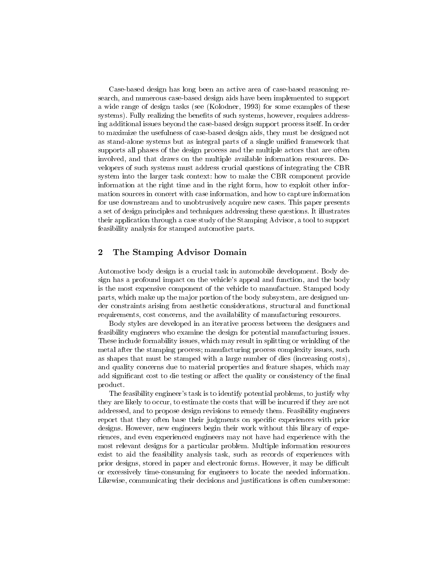Case-based design has long been an active area of case-based reasoning research, and numerous case-based design aids have been implemented to support a wide range of design tasks (see (Kolodner, 1993) for some examples of these systems). Fully realizing the benefits of such systems, however, requires addressing additional issues beyond the case-based design support process itself. In order to maximize the usefulness of case-based design aids, they must be designed not as stand-alone systems but as integral parts of a single unified framework that supports all phases of the design process and the multiple actors that are often involved, and that draws on the multiple available information resources. De velopers of such systems must address crucial questions of integrating the CBR system into the larger task context: how to make the CBR component provide information at the right time and in the right form, how to exploit other information sources in concert with case information, and how to capture information for use downstream and to unobtrusively acquire new cases. This paper presents a set of design principles and techniques addressing these questions. It illustrates their application through a case study of the Stamping Advisor, a tool to support feasibility analysis for stamped automotive parts.

#### $\overline{2}$ The Stamping Advisor Domain

Automotive body design is a crucial task in automobile development. Body design has a profound impact on the vehicle's appeal and function, and the body is the most expensive component of the vehicle to manufacture. Stamped body parts, which make up the ma jor portion of the body subsystem, are designed under constraints arising from aesthetic considerations, structural and functional requirements, cost concerns, and the availability of manufacturing resources.

Body styles are developed in an iterative process between the designers and feasibility engineers who examine the design for potential manufacturing issues. These include formability issues, which may result in splitting or wrinkling of the metal after the stamping process; manufacturing process complexity issues, such as shapes that must be stamped with a large number of dies (increasing costs), and quality concerns due to material properties and feature shapes, which may add significant cost to die testing or affect the quality or consistency of the final product.

The feasibility engineer's task is to identify potential problems, to justify why they are likely to occur, to estimate the costs that will be incurred if they are not addressed, and to propose design revisions to remedy them. Feasibility engineers report that they often base their judgments on specific experiences with prior designs. However, new engineers begin their work without this library of experiences, and even experienced engineers may not have had experience with the most relevant designs for a particular problem. Multiple information resources exist to aid the feasibility analysis task, such as records of experiences with prior designs, stored in paper and electronic forms. However, it may be difficult or excessively time-consuming for engineers to locate the needed information. Likewise, communicating their decisions and justications is often cumbersome: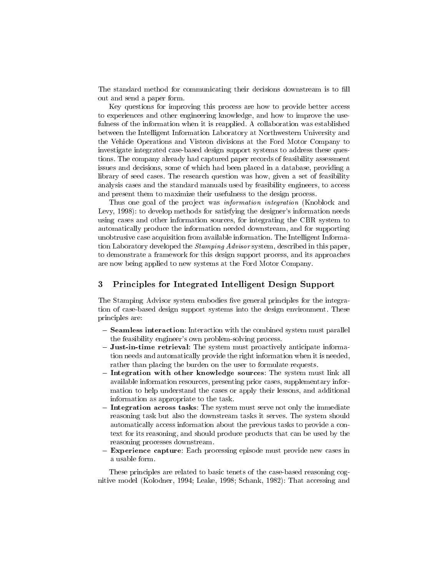The standard method for communicating their decisions downstream is to fill out and send a paper form.

Key questions for improving this process are how to provide better access to experiences and other engineering knowledge, and how to improve the usefulness of the information when it is reapplied. A collaboration was established between the Intelligent Information Laboratory at Northwestern University and the Vehicle Operations and Visteon divisions at the Ford Motor Company to investigate integrated case-based design support systems to address these questions. The company already had captured paper records of feasibility assessment issues and decisions, some of which had been placed in a database, providing a library of seed cases. The research question was how, given a set of feasibility analysis cases and the standard manuals used by feasibility engineers, to access and present them to maximize their usefulness to the design process.

Thus one goal of the project was *information integration* (Knoblock and Levy, 1998): to develop methods for satisfying the designer's information needs using cases and other information sources, for integrating the CBR system to automatically produce the information needed downstream, and for supporting unobtrusive case acquisition from available information. The Intelligent Information Laboratory developed the *Stamping Advisor* system, described in this paper, to demonstrate a framework for this design support process, and its approaches are now being applied to new systems at the Ford Motor Company.

### 3 Principles for Integrated Intelligent Design Support

The Stamping Advisor system embodies five general principles for the integration of case-based design support systems into the design environment. These principles are:

- ${\bf -}$  seamless interaction. Interaction with the combined system must parallel the feasibility engineer's own problem-solving process.
- $\sigma$  and the vient retrievalism must be seen in the system productively anticipate information tion needs and automatically provide the right information when it is needed, rather than placing the burden on the user to formulate requests.
- ${\bf I}$  is a system with other the system must link all  ${\bf I}$  is a system must line all  ${\bf I}$ available information resources, presenting prior cases, supplementary information to help understand the cases or apply their lessons, and additional information as appropriate to the task.
- ${\bf -}$  Integration across tasks. The system must serve not only the immediate reasoning task but also the downstream tasks it serves. The system should automatically access information about the previous tasks to provide a context for its reasoning, and should produce products that can be used by the reasoning processes downstream.
- { Experience capture: Each processing episode must provide new cases in a usable form.

These principles are related to basic tenets of the case-based reasoning cognitive model (Kolodner, 1994; Leake, 1998; Schank, 1982): That accessing and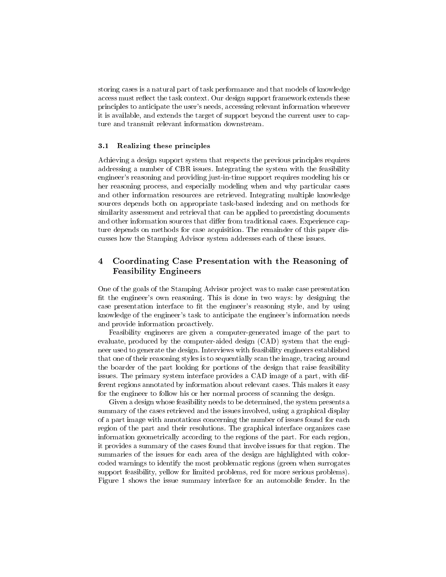storing cases is a natural part of task performance and that models of knowledge access must reflect the task context. Our design support framework extends these principles to anticipate the user's needs, accessing relevant information wherever it is available, and extends the target of support beyond the current user to capture and transmit relevant information downstream.

#### 3.1Realizing these principles

Achieving a design support system that respects the previous principles requires addressing a number of CBR issues. Integrating the system with the feasibility engineer's reasoning and providing just-in-time support requires modeling his or her reasoning process, and especially modeling when and why particular cases and other information resources are retrieved. Integrating multiple knowledge sources depends both on appropriate task-based indexing and on methods for similarity assessment and retrieval that can be applied to preexisting documents and other information sources that differ from traditional cases. Experience capture depends on methods for case acquisition. The remainder of this paper discusses how the Stamping Advisor system addresses each of these issues.

### $\overline{\mathbf{4}}$ 4 Coordinating Case Presentation with the Reasoning of Feasibility Engineers

One of the goals of the Stamping Advisor project was to make case presentation fit the engineer's own reasoning. This is done in two ways: by designing the case presentation interface to fit the engineer's reasoning style, and by using knowledge of the engineer's task to anticipate the engineer's information needs and provide information proactively.

Feasibility engineers are given a computer-generated image of the part to evaluate, produced by the computer-aided design (CAD) system that the engineer used to generate the design. Interviews with feasibility engineers established that one of their reasoning styles is to sequentially scan the image, tracing around the boarder of the part looking for portions of the design that raise feasibility issues. The primary system interface provides a CAD image of a part, with different regions annotated by information about relevant cases. This makes it easy for the engineer to follow his or her normal process of scanning the design.

Given a design whose feasibility needs to be determined, the system presents a summary of the cases retrieved and the issues involved, using a graphical display of a part image with annotations concerning the number of issues found for each region of the part and their resolutions. The graphical interface organizes case information geometrically according to the regions of the part. For each region, it provides a summary of the cases found that involve issues for that region. The summaries of the issues for each area of the design are highlighted with colorcoded warnings to identify the most problematic regions (green when surrogates support feasibility, yellow for limited problems, red for more serious problems). Figure 1 shows the issue summary interface for an automobile fender. In the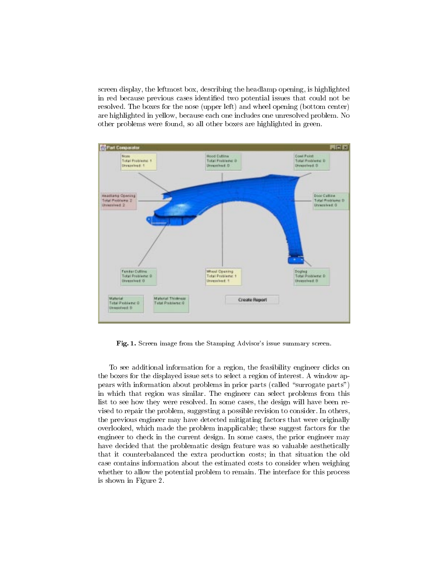screen display, the leftmost box, describing the headlamp opening, is highlighted in red because previous cases identied two potential issues that could not be resolved. The boxes for the nose (upper left) and wheel opening (bottom center) are highlighted in yellow, because each one includes one unresolved problem. No other problems were found, so all other boxes are highlighted in green.



Fig. 1. Screen image from the Stamping Advisor's issue summary screen.

To see additional information for a region, the feasibility engineer clicks on the boxes for the displayed issue sets to select a region of interest. A window appears with information about problems in prior parts (called "surrogate parts") in which that region was similar. The engineer can select problems from this list to see how they were resolved. In some cases, the design will have been revised to repair the problem, suggesting a possible revision to consider. In others, the previous engineer may have detected mitigating factors that were originally overlooked, which made the problem inapplicable; these suggest factors for the engineer to check in the current design. In some cases, the prior engineer may have decided that the problematic design feature was so valuable aesthetically that it counterbalanced the extra production costs; in that situation the old case contains information about the estimated costs to consider when weighing whether to allow the potential problem to remain. The interface for this process is shown in Figure 2.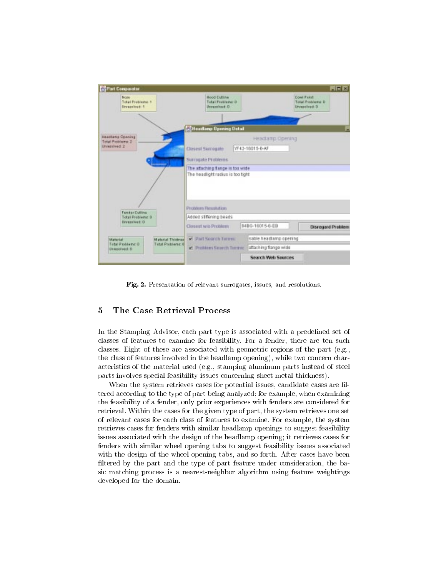

Fig. 2. Presentation of relevant surrogates, issues, and resolutions.

#### The Case Retrieval Process  $\overline{5}$

In the Stamping Advisor, each part type is associated with a predefined set of classes of features to examine for feasibility. For a fender, there are ten such classes. Eight of these are associated with geometric regions of the part (e.g., the class of features involved in the headlamp opening), while two concern characteristics of the material used (e.g., stamping aluminum parts instead of steel parts involves special feasibility issues concerning sheet metal thickness).

When the system retrieves cases for potential issues, candidate cases are filtered according to the type of part being analyzed; for example, when examining the feasibility of a fender, only prior experiences with fenders are considered for retrieval. Within the cases for the given type of part, the system retrieves one set of relevant cases for each class of features to examine. For example, the system retrieves cases for fenders with similar headlamp openings to suggest feasibility issues associated with the design of the headlamp opening; it retrieves cases for fenders with similar wheel opening tabs to suggest feasibility issues associated with the design of the wheel opening tabs, and so forth. After cases have been filtered by the part and the type of part feature under consideration, the basic matching process is a nearest-neighbor algorithm using feature weightings developed for the domain.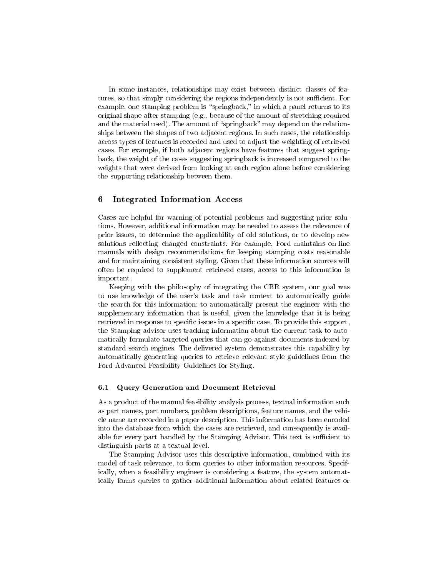In some instances, relationships may exist between distinct classes of features, so that simply considering the regions independently is not sufficient. For example, one stamping problem is "springback," in which a panel returns to its original shape after stamping (e.g., because of the amount of stretching required and the material used). The amount of "springback" may depend on the relationships between the shapes of two adjacent regions. In such cases, the relationship across types of features is recorded and used to adjust the weighting of retrieved cases. For example, if both adjacent regions have features that suggest springback, the weight of the cases suggesting springback is increased compared to the weights that were derived from looking at each region alone before considering the supporting relationship between them.

#### 6 Integrated Information Access

Cases are helpful for warning of potential problems and suggesting prior solutions. However, additional information may be needed to assess the relevance of prior issues, to determine the applicability of old solutions, or to develop new solutions reflecting changed constraints. For example, Ford maintains on-line manuals with design recommendations for keeping stamping costs reasonable and for maintaining consistent styling. Given that these information sources will often be required to supplement retrieved cases, access to this information is important.

Keeping with the philosophy of integrating the CBR system, our goal was to use knowledge of the user's task and task context to automatically guide the search for this information: to automatically present the engineer with the supplementary information that is useful, given the knowledge that it is being retrieved in response to specific issues in a specific case. To provide this support, the Stamping advisor uses tracking information about the current task to automatically formulate targeted queries that can go against documents indexed by standard search engines. The delivered system demonstrates this capability by automatically generating queries to retrieve relevant style guidelines from the Ford Advanced Feasibility Guidelines for Styling.

#### 6.1Query Generation and Document Retrieval

As a product of the manual feasibility analysis process, textual information such as part names, part numbers, problem descriptions, feature names, and the vehicle name are recorded in a paper description. This information has been encoded into the database from which the cases are retrieved, and consequently is available for every part handled by the Stamping Advisor. This text is sufficient to distinguish parts at a textual level.

The Stamping Advisor uses this descriptive information, combined with its model of task relevance, to form queries to other information resources. Specifically, when a feasibility engineer is considering a feature, the system automatically forms queries to gather additional information about related features or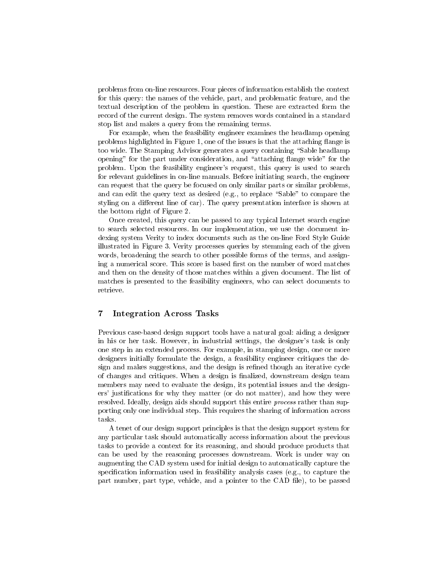problems from on-line resources. Four pieces of information establish the context for this query: the names of the vehicle, part, and problematic feature, and the textual description of the problem in question. These are extracted form the record of the current design. The system removes words contained in a standard stop list and makes a query from the remaining terms.

For example, when the feasibility engineer examines the headlamp opening problems highlighted in Figure 1, one of the issues is that the attaching flange is too wide. The Stamping Advisor generates a query containing "Sable headlamp" opening" for the part under consideration, and "attaching flange wide" for the problem. Upon the feasibility engineer's request, this query is used to search for relevant guidelines in on-line manuals. Before initiating search, the engineer can request that the query be focused on only similar parts or similar problems, and can edit the query text as desired (e.g., to replace "Sable" to compare the styling on a different line of car). The query presentation interface is shown at the bottom right of Figure 2.

Once created, this query can be passed to any typical Internet search engine to search selected resources. In our implementation, we use the document indexing system Verity to index documents such as the on-line Ford Style Guide illustrated in Figure 3. Verity processes queries by stemming each of the given words, broadening the search to other possible forms of the terms, and assigning a numerical score. This score is based first on the number of word matches and then on the density of those matches within a given document. The list of matches is presented to the feasibility engineers, who can select documents to retrieve.

#### $\overline{7}$ 7 Integration Across Tasks

Previous case-based design support tools have a natural goal: aiding a designer in his or her task. However, in industrial settings, the designer's task is only one step in an extended process. For example, in stamping design, one or more designers initially formulate the design, a feasibility engineer critiques the design and makes suggestions, and the design is refined though an iterative cycle of changes and critiques. When a design is finalized, downstream design team members may need to evaluate the design, its potential issues and the designers' justifications for why they matter (or do not matter), and how they were resolved. Ideally, design aids should support this entire process rather than supporting only one individual step. This requires the sharing of information across tasks.

A tenet of our design support principles is that the design support system for any particular task should automatically access information about the previous tasks to provide a context for its reasoning, and should produce products that can be used by the reasoning processes downstream. Work is under way on augmenting the CAD system used for initial design to automatically capture the specification information used in feasibility analysis cases (e.g., to capture the part number, part type, vehicle, and a pointer to the CAD file), to be passed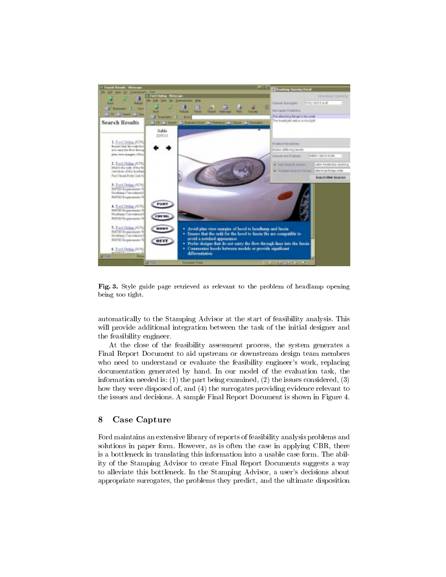

Fig. 3. Style guide page retrieved as relevant to the problem of headlamp opening being too tight.

automatically to the Stamping Advisor at the start of feasibility analysis. This will provide additional integration between the task of the initial designer and the feasibility engineer.

At the close of the feasibility assessment process, the system generates a Final Report Document to aid upstream or downstream design team members who need to understand or evaluate the feasibility engineer's work, replacing documentation generated by hand. In our model of the evaluation task, the information needed is: (1) the part being examined, (2) the issues considered, (3) how they were disposed of, and (4) the surrogates providing evidence relevant to the issues and decisions. A sample Final Report Document is shown in Figure 4.

#### 8 Case Capture

Ford maintains an extensive library of reports of feasibility analysis problems and solutions in paper form. However, as is often the case in applying CBR, there is a bottleneck in translating this information into a usable case form. The ability of the Stamping Advisor to create Final Report Documents suggests a way to alleviate this bottleneck. In the Stamping Advisor, a user's decisions about appropriate surrogates, the problems they predict, and the ultimate disposition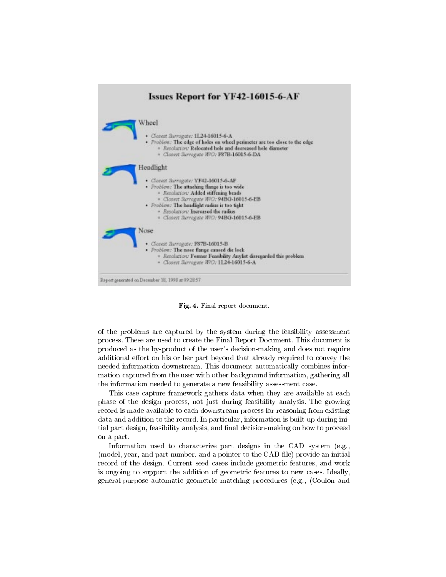

Fig. 4. Final report document.

of the problems are captured by the system during the feasibility assessment process. These are used to create the Final Report Document. This document is produced as the by-product of the user's decision-making and does not require additional effort on his or her part beyond that already required to convey the needed information downstream. This document automatically combines information captured from the user with other background information, gathering all the information needed to generate a new feasibility assessment case.

This case capture framework gathers data when they are available at each phase of the design process, not just during feasibility analysis. The growing record is made available to each downstream process for reasoning from existing data and addition to the record. In particular, information is built up during initial part design, feasibility analysis, and final decision-making on how to proceed on a part.

Information used to characterize part designs in the CAD system (e.g., (model, year, and part number, and a pointer to the CAD file) provide an initial record of the design. Current seed cases include geometric features, and work is ongoing to support the addition of geometric features to new cases. Ideally, general-purpose automatic geometric matching procedures (e.g., (Coulon and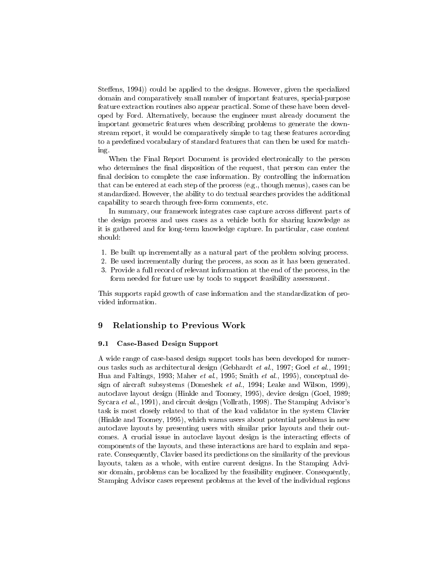Steffens, 1994) could be applied to the designs. However, given the specialized domain and comparatively small number of important features, special-purpose feature extraction routines also appear practical. Some of these have been developed by Ford. Alternatively, because the engineer must already document the important geometric features when describing problems to generate the downstream report, it would be comparatively simple to tag these features according to a predefined vocabulary of standard features that can then be used for matching.

When the Final Report Document is provided electronically to the person who determines the final disposition of the request, that person can enter the final decision to complete the case information. By controlling the information that can be entered at each step of the process (e.g., though menus), cases can be standardized. However, the ability to do textual searches provides the additional capability to search through free-form comments, etc.

In summary, our framework integrates case capture across different parts of the design process and uses cases as a vehicle both for sharing knowledge as it is gathered and for long-term knowledge capture. In particular, case content should:

- 1. Be built up incrementally as a natural part of the problem solving process.
- 2. Be used incrementally during the process, as soon as it has been generated.
- 3. Provide a full record of relevant information at the end of the process, in the form needed for future use by tools to support feasibility assessment.

This supports rapid growth of case information and the standardization of provided information.

### 9 Relationship to Previous Work

#### 9.1Case-Based Design Support

A wide range of case-based design support tools has been developed for numerous tasks such as architectural design (Gebhardt et al., 1997; Goel et al., 1991; Hua and Faltings, 1993; Maher et al., 1995; Smith et al., 1995), conceptual design of aircraft subsystems (Domeshek et al., 1994; Leake and Wilson, 1999), autoclave layout design (Hinkle and Toomey, 1995), device design (Goel, 1989; Sycara et al., 1991), and circuit design (Vollrath, 1998). The Stamping Advisor's task is most closely related to that of the load validator in the system Clavier (Hinkle and Toomey, 1995), which warns users about potential problems in new autoclave layouts by presenting users with similar prior layouts and their outcomes. A crucial issue in autoclave layout design is the interacting effects of components of the layouts, and these interactions are hard to explain and separate. Consequently, Clavier based its predictions on the similarity of the previous layouts, taken as a whole, with entire current designs. In the Stamping Advisor domain, problems can be localized by the feasibility engineer. Consequently, Stamping Advisor cases represent problems at the level of the individual regions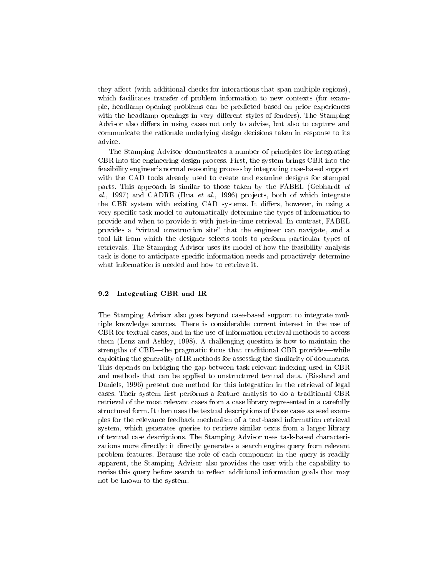they affect (with additional checks for interactions that span multiple regions), which facilitates transfer of problem information to new contexts (for example, headlamp opening problems can be predicted based on prior experiences with the headlamp openings in very different styles of fenders). The Stamping Advisor also differs in using cases not only to advise, but also to capture and communicate the rationale underlying design decisions taken in response to its advice.

The Stamping Advisor demonstrates a number of principles for integrating CBR into the engineering design process. First, the system brings CBR into the feasibility engineer's normal reasoning process by integrating case-based support with the CAD tools already used to create and examine designs for stamped parts. This approach is similar to those taken by the FABEL (Gebhardt et al., 1997) and CADRE (Hua et al., 1996) projects, both of which integrate the CBR system with existing CAD systems. It differs, however, in using a very specic task model to automatically determine the types of information to provide and when to provide it with just-in-time retrieval. In contrast, FABEL provides a "virtual construction site" that the engineer can navigate, and a tool kit from which the designer selects tools to perform particular types of retrievals. The Stamping Advisor uses its model of how the feasibility analysis task is done to anticipate specific information needs and proactively determine what information is needed and how to retrieve it.

#### 9.2Integrating CBR and IR

The Stamping Advisor also goes beyond case-based support to integrate multiple knowledge sources. There is considerable current interest in the use of CBR for textual cases, and in the use of information retrieval methods to access them (Lenzand Ashley, 1998). A challenging question is how to maintain the strengths of CBR—the pragmatic focus that traditional CBR provides—while exploiting the generality of IR methods for assessing the similarity of documents. This depends on bridging the gap between task-relevant indexing used in CBR and methods that can be applied to unstructured textual data. (Rissland and Daniels, 1996) present one method for this integration in the retrieval of legal cases. Their system first performs a feature analysis to do a traditional CBR retrieval of the most relevant cases from a case library represented in a carefully structured form. It then uses the textual descriptions of those cases as seed examples for the relevance feedback mechanism of a text-based information retrieval system, which generates queries to retrieve similar texts from a larger library of textual case descriptions. The Stamping Advisor uses task-based characterizations more directly: it directly generates a search engine query from relevant problem features. Because the role of each component in the query is readily apparent, the Stamping Advisor also provides the user with the capability to revise this query before search to reflect additional information goals that may not be known to the system.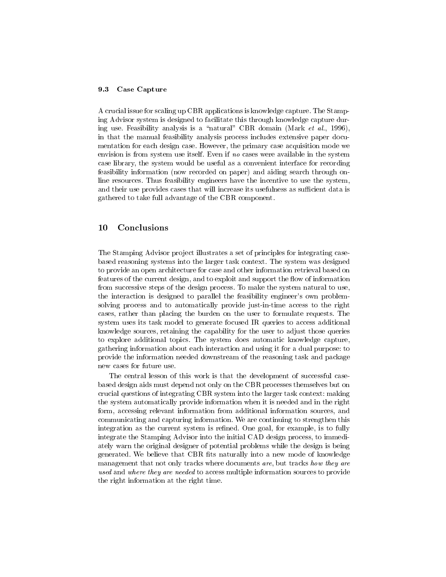#### 9.3Case Capture

A crucial issue for scaling up CBR applications is knowledge capture. The Stamping Advisor system is designed to facilitate this through knowledge capture during use. Feasibility analysis is a "natural" CBR domain (Mark et al., 1996), in that the manual feasibility analysis process includes extensive paper documentation for each design case. However, the primary case acquisition mode we envision is from system use itself. Even if no cases were available in the system case library, the system would be useful as a convenient interface for recording feasibility information (now recorded on paper) and aiding search through online resources. Thus feasibility engineers have the incentive to use the system, and their use provides cases that will increase its usefulness as sufficient data is gathered to take full advantage of the CBR component.

#### 10 **Conclusions**

The Stamping Advisor project illustrates a set of principles for integrating casebased reasoning systems into the larger task context. The system was designed to provide an open architecture for case and other information retrieval based on features of the current design, and to exploit and support the flow of information from successive steps of the design process. To make the system natural to use, the interaction is designed to parallel the feasibility engineer's own problemsolving process and to automatically provide just-in-time access to the right cases, rather than placing the burden on the user to formulate requests. The system uses its task model to generate focused IR queries to access additional knowledge sources, retaining the capability for the user to adjust those queries to explore additional topics. The system does automatic knowledge capture, gathering information about each interaction and using it for a dual purpose: to provide the information needed downstream of the reasoning task and package new cases for future use.

The central lesson of this work is that the development of successful casebased design aids must depend not only on the CBR processes themselves but on crucial questions of integrating CBR system into the larger task context: making the system automatically provide information when it is needed and in the right form, accessing relevant information from additional information sources, and communicating and capturing information. We are continuing to strengthen this integration as the current system is refined. One goal, for example, is to fully integrate the Stamping Advisor into the initial CAD design process, to immediately warn the original designer of potential problems while the design is being generated. We believe that CBR fits naturally into a new mode of knowledge management that not only tracks where documents are, but tracks how they are used and where they are needed to access multiple information sources to provide the right information at the right time.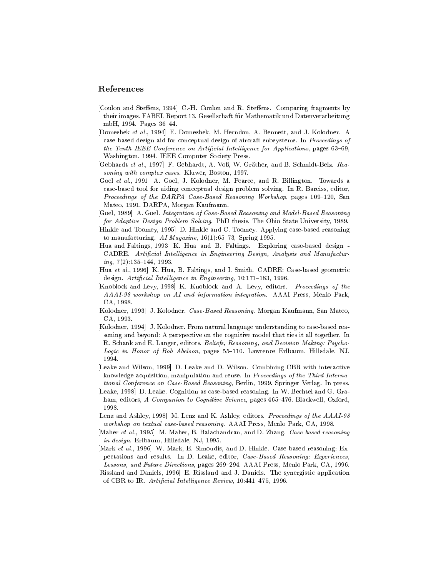## References

- [Coulon and Steffens, 1994] C.-H. Coulon and R. Steffens. Comparing fragments by their images. FABEL Report 13, Gesellschaft für Mathematik und Datenverarbeitung mbH, 1994. Pages 36-44.
- [Domeshek et al., 1994] E. Domeshek, M. Herndon, A. Bennett, and J. Kolodner. A case-based design aid for conceptual design of aircraft subsystems. In Proceedings of the Tenth IEEE Conference on Artificial Intelligence for Applications, pages  $63-69$ , Washington, 1994. IEEE Computer Society Press.
- [Gebhardt et al., 1997] F. Gebhardt, A. Voß, W. Gräther, and B. Schmidt-Belz. Reasoning with complex cases. Kluwer, Boston, 1997.
- [Goel et al., 1991] A. Goel, J. Kolodner, M. Pearce, and R. Billington. Towards a case-based tool for aiding conceptual design problem solving. In R. Bareiss, editor, Proceedings of the DARPA Case-Based Reasoning Workshop, pages  $109-120$ , San Mateo, 1991. DARPA, Morgan Kaufmann.
- [Goel, 1989] A. Goel. Integration of Case-Based Reasoning and Model-Based Reasoning for Adaptive Design Problem Solving. PhD thesis, The Ohio State University, 1989.
- [Hinkle and Toomey, 1995] D. Hinkle and C. Toomey. Applying case-based reasoning to manufacturing. AI Magazine,  $16(1):65{-}73$ , Spring 1995.
- [Hua and Faltings, 1993] K. Hua and B. Faltings. Exploring case-based design CADRE. Artificial Intelligence in Engineering Design, Analysis and Manufactur $inq$ ,  $7(2):135–144$ , 1993.
- [Hua et al., 1996] K. Hua, B. Faltings, and I. Smith. CADRE: Case-based geometric design. Artificial Intelligence in Engineering,  $10:171-183$ , 1996.
- [Knoblock and Levy, 1998] K. Knoblock and A. Levy, editors. Proceedings of the AAAI-98 workshop on AI and information integration. AAAI Press, Menlo Park, CA, 1998.
- [Kolodner, 1993] J. Kolodner. Case-Based Reasoning. Morgan Kaufmann, San Mateo, CA, 1993.
- [Kolodner, 1994] J. Kolodner. From natural language understanding to case-based reasoning and beyond: A perspective on the cognitive model that ties it all together. In R. Schank and E. Langer, editors, Beliefs, Reasoning, and Decision Making: Psycho-Logic in Honor of Bob Abelson, pages  $55-110$ . Lawrence Erlbaum, Hillsdale, NJ, 1994.
- [Leake and Wilson, 1999] D. Leake and D. Wilson. Combining CBR with interactive knowledge acquisition, manipulation and reuse. In Proceedings of the Third International Conference on Case-Based Reasoning, Berlin, 1999. Springer Verlag. In press.
- [Leake, 1998] D. Leake. Cognition as case-based reasoning. In W. Bechtel and G. Graham, editors, A Companion to Cognitive Science, pages 465-476. Blackwell, Oxford, 1998.
- [Lenz and Ashley, 1998] M. Lenz and K. Ashley, editors. Proceedings of the AAAI-98 workshop on textual case-based reasoning. AAAI Press, Menlo Park, CA, 1998.
- [Maher et al., 1995] M. Maher, B. Balachandran, and D. Zhang. Case-based reasoning in design. Erlbaum, Hillsdale, NJ, 1995.
- [Mark et al., 1996] W. Mark, E. Simoudis, and D. Hinkle. Case-based reasoning: Expectations and results. In D. Leake, editor, Case-Based Reasoning: Experiences, Lessons, and Future Directions, pages 269-294. AAAI Press, Menlo Park, CA, 1996.
- [Rissland and Daniels, 1996] E. Rissland and J. Daniels. The synergistic application of CBR to IR. Artificial Intelligence Review, 10:441-475, 1996.